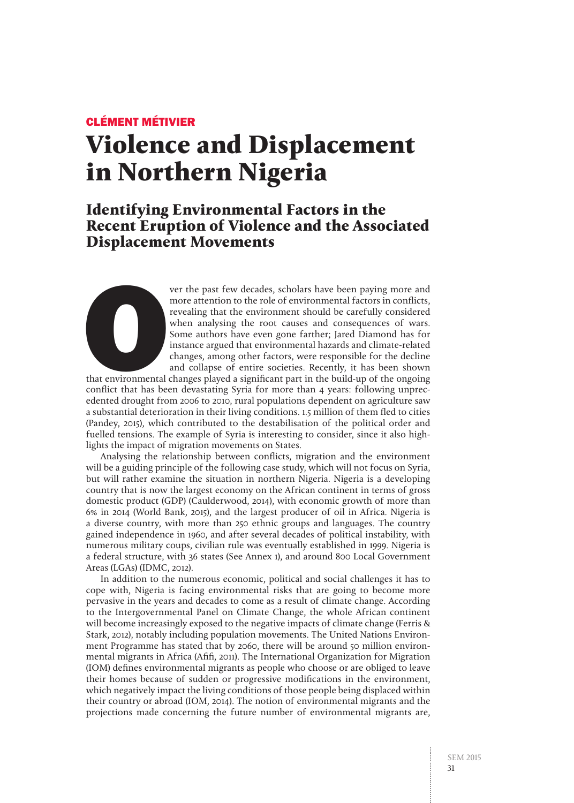## CLÉMENT MÉTIVIER

# **Violence and Displacement in Northern Nigeria**

## **Identifying Environmental Factors in the Recent Eruption of Violence and the Associated Displacement Movements**



that environmental changes played a significant part in the build-up of the ongoing conflict that has been devastating Syria for more than 4 years: following unprecedented drought from 2006 to 2010, rural populations dependent on agriculture saw a substantial deterioration in their living conditions. 1.5 million of them fled to cities (Pandey, 2015), which contributed to the destabilisation of the political order and fuelled tensions. The example of Syria is interesting to consider, since it also highlights the impact of migration movements on States.

Analysing the relationship between conflicts, migration and the environment will be a guiding principle of the following case study, which will not focus on Syria, but will rather examine the situation in northern Nigeria. Nigeria is a developing country that is now the largest economy on the African continent in terms of gross domestic product (GDP) (Caulderwood, 2014), with economic growth of more than 6% in 2014 (World Bank, 2015), and the largest producer of oil in Africa. Nigeria is a diverse country, with more than 250 ethnic groups and languages. The country gained independence in 1960, and after several decades of political instability, with numerous military coups, civilian rule was eventually established in 1999. Nigeria is a federal structure, with 36 states (See Annex 1), and around 800 Local Government Areas (LGAs) (IDMC, 2012).

In addition to the numerous economic, political and social challenges it has to cope with, Nigeria is facing environmental risks that are going to become more pervasive in the years and decades to come as a result of climate change. According to the Intergovernmental Panel on Climate Change, the whole African continent will become increasingly exposed to the negative impacts of climate change (Ferris & Stark, 2012), notably including population movements. The United Nations Environment Programme has stated that by 2060, there will be around 50 million environmental migrants in Africa (Afifi, 2011). The International Organization for Migration (IOM) defines environmental migrants as people who choose or are obliged to leave their homes because of sudden or progressive modifications in the environment, which negatively impact the living conditions of those people being displaced within their country or abroad (IOM, 2014). The notion of environmental migrants and the projections made concerning the future number of environmental migrants are,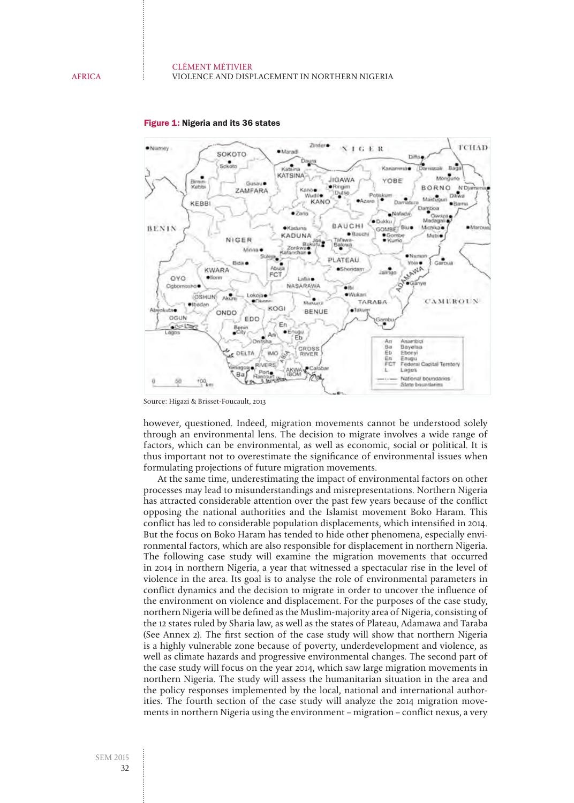

#### Figure 1: Nigeria and its 36 states

Source: Higazi & Brisset-Foucault, 2013

however, questioned. Indeed, migration movements cannot be understood solely through an environmental lens. The decision to migrate involves a wide range of factors, which can be environmental, as well as economic, social or political. It is thus important not to overestimate the significance of environmental issues when formulating projections of future migration movements.

At the same time, underestimating the impact of environmental factors on other processes may lead to misunderstandings and misrepresentations. Northern Nigeria has attracted considerable attention over the past few years because of the conflict opposing the national authorities and the Islamist movement Boko Haram. This conflict has led to considerable population displacements, which intensified in 2014. But the focus on Boko Haram has tended to hide other phenomena, especially environmental factors, which are also responsible for displacement in northern Nigeria. The following case study will examine the migration movements that occurred in 2014 in northern Nigeria, a year that witnessed a spectacular rise in the level of violence in the area. Its goal is to analyse the role of environmental parameters in conflict dynamics and the decision to migrate in order to uncover the influence of the environment on violence and displacement. For the purposes of the case study, northern Nigeria will be defined as the Muslim-majority area of Nigeria, consisting of the 12 states ruled by Sharia law, as well as the states of Plateau, Adamawa and Taraba (See Annex 2). The first section of the case study will show that northern Nigeria is a highly vulnerable zone because of poverty, underdevelopment and violence, as well as climate hazards and progressive environmental changes. The second part of the case study will focus on the year 2014, which saw large migration movements in northern Nigeria. The study will assess the humanitarian situation in the area and the policy responses implemented by the local, national and international authorities. The fourth section of the case study will analyze the 2014 migration movements in northern Nigeria using the environment – migration – conflict nexus, a very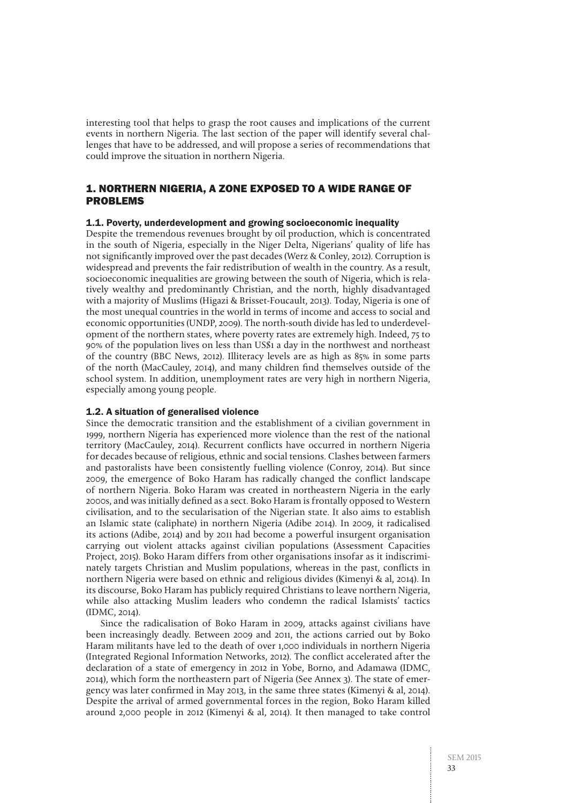interesting tool that helps to grasp the root causes and implications of the current events in northern Nigeria. The last section of the paper will identify several challenges that have to be addressed, and will propose a series of recommendations that could improve the situation in northern Nigeria.

## 1. NORTHERN NIGERIA, A ZONE EXPOSED TO A WIDE RANGE OF PROBLEMS

#### 1.1. Poverty, underdevelopment and growing socioeconomic inequality

Despite the tremendous revenues brought by oil production, which is concentrated in the south of Nigeria, especially in the Niger Delta, Nigerians' quality of life has not significantly improved over the past decades (Werz & Conley, 2012). Corruption is widespread and prevents the fair redistribution of wealth in the country. As a result, socioeconomic inequalities are growing between the south of Nigeria, which is relatively wealthy and predominantly Christian, and the north, highly disadvantaged with a majority of Muslims (Higazi & Brisset-Foucault, 2013). Today, Nigeria is one of the most unequal countries in the world in terms of income and access to social and economic opportunities (UNDP, 2009). The north-south divide has led to underdevelopment of the northern states, where poverty rates are extremely high. Indeed, 75 to 90% of the population lives on less than US\$1 a day in the northwest and northeast of the country (BBC News, 2012). Illiteracy levels are as high as 85% in some parts of the north (MacCauley, 2014), and many children find themselves outside of the school system. In addition, unemployment rates are very high in northern Nigeria, especially among young people.

#### 1.2. A situation of generalised violence

Since the democratic transition and the establishment of a civilian government in 1999, northern Nigeria has experienced more violence than the rest of the national territory (MacCauley, 2014). Recurrent conflicts have occurred in northern Nigeria for decades because of religious, ethnic and social tensions. Clashes between farmers and pastoralists have been consistently fuelling violence (Conroy, 2014). But since 2009, the emergence of Boko Haram has radically changed the conflict landscape of northern Nigeria. Boko Haram was created in northeastern Nigeria in the early 2000s, and was initially defined as a sect. Boko Haram is frontally opposed to Western civilisation, and to the secularisation of the Nigerian state. It also aims to establish an Islamic state (caliphate) in northern Nigeria (Adibe 2014). In 2009, it radicalised its actions (Adibe, 2014) and by 2011 had become a powerful insurgent organisation carrying out violent attacks against civilian populations (Assessment Capacities Project, 2015). Boko Haram differs from other organisations insofar as it indiscriminately targets Christian and Muslim populations, whereas in the past, conflicts in northern Nigeria were based on ethnic and religious divides (Kimenyi & al, 2014). In its discourse, Boko Haram has publicly required Christians to leave northern Nigeria, while also attacking Muslim leaders who condemn the radical Islamists' tactics (IDMC, 2014).

Since the radicalisation of Boko Haram in 2009, attacks against civilians have been increasingly deadly. Between 2009 and 2011, the actions carried out by Boko Haram militants have led to the death of over 1,000 individuals in northern Nigeria (Integrated Regional Information Networks, 2012). The conflict accelerated after the declaration of a state of emergency in 2012 in Yobe, Borno, and Adamawa (IDMC, 2014), which form the northeastern part of Nigeria (See Annex 3). The state of emergency was later confirmed in May 2013, in the same three states (Kimenyi & al, 2014). Despite the arrival of armed governmental forces in the region, Boko Haram killed around 2,000 people in 2012 (Kimenyi & al, 2014). It then managed to take control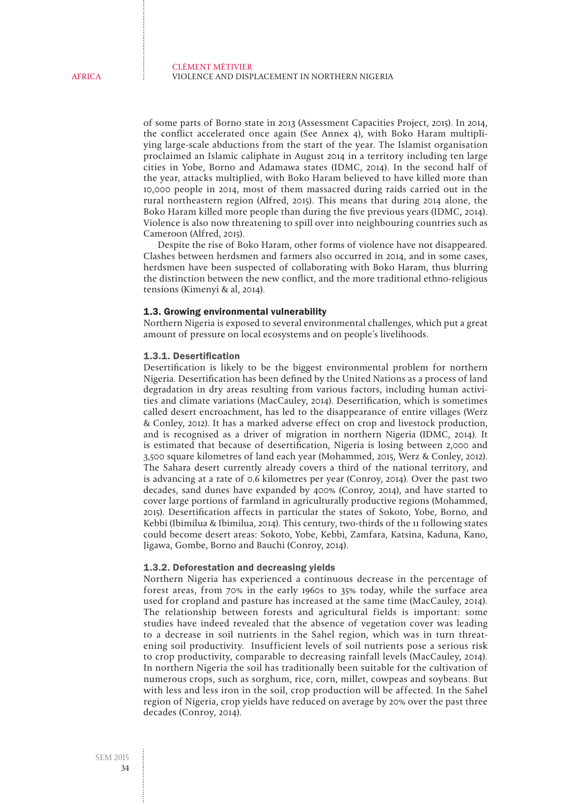of some parts of Borno state in 2013 (Assessment Capacities Project, 2015). In 2014, the conflict accelerated once again (See Annex 4), with Boko Haram multipliying large-scale abductions from the start of the year. The Islamist organisation proclaimed an Islamic caliphate in August 2014 in a territory including ten large cities in Yobe, Borno and Adamawa states (IDMC, 2014). In the second half of the year, attacks multiplied, with Boko Haram believed to have killed more than 10,000 people in 2014, most of them massacred during raids carried out in the rural northeastern region (Alfred, 2015). This means that during 2014 alone, the Boko Haram killed more people than during the five previous years (IDMC, 2014). Violence is also now threatening to spill over into neighbouring countries such as Cameroon (Alfred, 2015).

Despite the rise of Boko Haram, other forms of violence have not disappeared. Clashes between herdsmen and farmers also occurred in 2014, and in some cases, herdsmen have been suspected of collaborating with Boko Haram, thus blurring the distinction between the new conflict, and the more traditional ethno-religious tensions (Kimenyi & al, 2014).

#### 1.3. Growing environmental vulnerability

Northern Nigeria is exposed to several environmental challenges, which put a great amount of pressure on local ecosystems and on people's livelihoods.

#### 1.3.1. Desertification

Desertification is likely to be the biggest environmental problem for northern Nigeria. Desertification has been defined by the United Nations as a process of land degradation in dry areas resulting from various factors, including human activities and climate variations (MacCauley, 2014). Desertification, which is sometimes called desert encroachment, has led to the disappearance of entire villages (Werz & Conley, 2012). It has a marked adverse effect on crop and livestock production, and is recognised as a driver of migration in northern Nigeria (IDMC, 2014). It is estimated that because of desertification, Nigeria is losing between 2,000 and 3,500 square kilometres of land each year (Mohammed, 2015, Werz & Conley, 2012). The Sahara desert currently already covers a third of the national territory, and is advancing at a rate of 0.6 kilometres per year (Conroy, 2014). Over the past two decades, sand dunes have expanded by 400% (Conroy, 2014), and have started to cover large portions of farmland in agriculturally productive regions (Mohammed, 2015). Desertification affects in particular the states of Sokoto, Yobe, Borno, and Kebbi (Ibimilua & Ibimilua, 2014). This century, two-thirds of the 11 following states could become desert areas: Sokoto, Yobe, Kebbi, Zamfara, Katsina, Kaduna, Kano, Jigawa, Gombe, Borno and Bauchi (Conroy, 2014).

#### 1.3.2. Deforestation and decreasing yields

Northern Nigeria has experienced a continuous decrease in the percentage of forest areas, from 70% in the early 1960s to 35% today, while the surface area used for cropland and pasture has increased at the same time (MacCauley, 2014). The relationship between forests and agricultural fields is important: some studies have indeed revealed that the absence of vegetation cover was leading to a decrease in soil nutrients in the Sahel region, which was in turn threatening soil productivity. Insufficient levels of soil nutrients pose a serious risk to crop productivity, comparable to decreasing rainfall levels (MacCauley, 2014). In northern Nigeria the soil has traditionally been suitable for the cultivation of numerous crops, such as sorghum, rice, corn, millet, cowpeas and soybeans. But with less and less iron in the soil, crop production will be affected. In the Sahel region of Nigeria, crop yields have reduced on average by 20% over the past three decades (Conroy, 2014).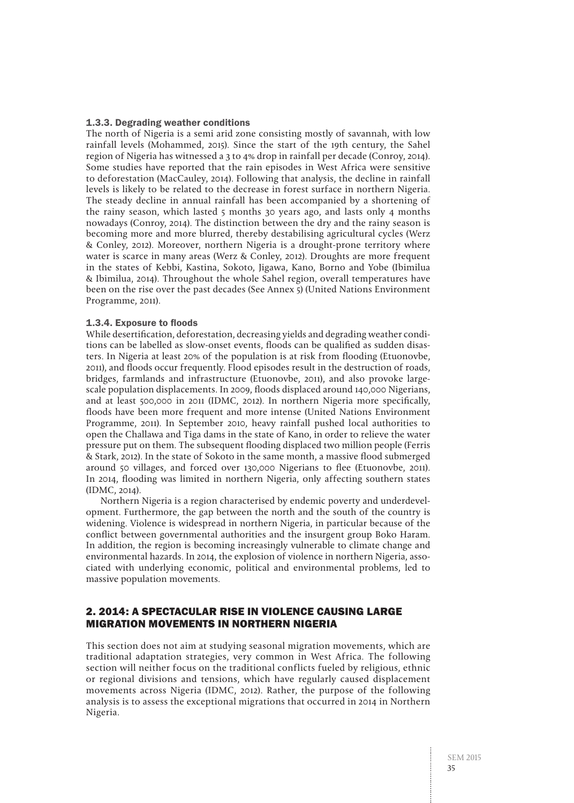#### 1.3.3. Degrading weather conditions

The north of Nigeria is a semi arid zone consisting mostly of savannah, with low rainfall levels (Mohammed, 2015). Since the start of the 19th century, the Sahel region of Nigeria has witnessed a 3 to 4% drop in rainfall per decade (Conroy, 2014). Some studies have reported that the rain episodes in West Africa were sensitive to deforestation (MacCauley, 2014). Following that analysis, the decline in rainfall levels is likely to be related to the decrease in forest surface in northern Nigeria. The steady decline in annual rainfall has been accompanied by a shortening of the rainy season, which lasted 5 months 30 years ago, and lasts only 4 months nowadays (Conroy, 2014). The distinction between the dry and the rainy season is becoming more and more blurred, thereby destabilising agricultural cycles (Werz & Conley, 2012). Moreover, northern Nigeria is a drought-prone territory where water is scarce in many areas (Werz & Conley, 2012). Droughts are more frequent in the states of Kebbi, Kastina, Sokoto, Jigawa, Kano, Borno and Yobe (Ibimilua & Ibimilua, 2014). Throughout the whole Sahel region, overall temperatures have been on the rise over the past decades (See Annex 5) (United Nations Environment Programme, 2011).

#### 1.3.4. Exposure to floods

While desertification, deforestation, decreasing yields and degrading weather conditions can be labelled as slow-onset events, floods can be qualified as sudden disasters. In Nigeria at least 20% of the population is at risk from flooding (Etuonovbe, 2011), and floods occur frequently. Flood episodes result in the destruction of roads, bridges, farmlands and infrastructure (Etuonovbe, 2011), and also provoke largescale population displacements. In 2009, floods displaced around 140,000 Nigerians, and at least 500,000 in 2011 (IDMC, 2012). In northern Nigeria more specifically, floods have been more frequent and more intense (United Nations Environment Programme, 2011). In September 2010, heavy rainfall pushed local authorities to open the Challawa and Tiga dams in the state of Kano, in order to relieve the water pressure put on them. The subsequent flooding displaced two million people (Ferris & Stark, 2012). In the state of Sokoto in the same month, a massive flood submerged around 50 villages, and forced over 130,000 Nigerians to flee (Etuonovbe, 2011). In 2014, flooding was limited in northern Nigeria, only affecting southern states (IDMC, 2014).

Northern Nigeria is a region characterised by endemic poverty and underdevelopment. Furthermore, the gap between the north and the south of the country is widening. Violence is widespread in northern Nigeria, in particular because of the conflict between governmental authorities and the insurgent group Boko Haram. In addition, the region is becoming increasingly vulnerable to climate change and environmental hazards. In 2014, the explosion of violence in northern Nigeria, associated with underlying economic, political and environmental problems, led to massive population movements.

## 2. 2014: A SPECTACULAR RISE IN VIOLENCE CAUSING LARGE MIGRATION MOVEMENTS IN NORTHERN NIGERIA

This section does not aim at studying seasonal migration movements, which are traditional adaptation strategies, very common in West Africa. The following section will neither focus on the traditional conflicts fueled by religious, ethnic or regional divisions and tensions, which have regularly caused displacement movements across Nigeria (IDMC, 2012). Rather, the purpose of the following analysis is to assess the exceptional migrations that occurred in 2014 in Northern Nigeria.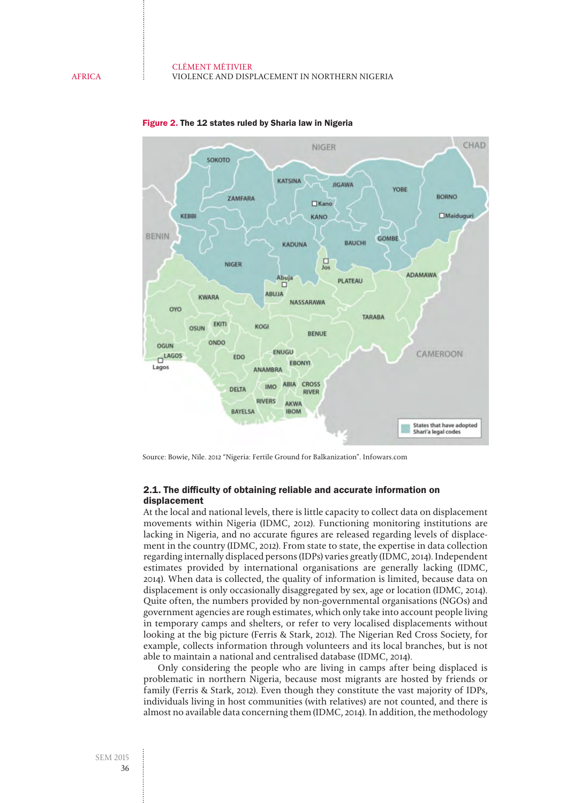

#### Figure 2. The 12 states ruled by Sharia law in Nigeria

Source: Bowie, Nile. 2012 "Nigeria: Fertile Ground for Balkanization". Infowars.com

#### 2.1. The difficulty of obtaining reliable and accurate information on displacement

At the local and national levels, there is little capacity to collect data on displacement movements within Nigeria (IDMC, 2012). Functioning monitoring institutions are lacking in Nigeria, and no accurate figures are released regarding levels of displacement in the country (IDMC, 2012). From state to state, the expertise in data collection regarding internally displaced persons (IDPs) varies greatly (IDMC, 2014). Independent estimates provided by international organisations are generally lacking (IDMC, 2014). When data is collected, the quality of information is limited, because data on displacement is only occasionally disaggregated by sex, age or location (IDMC, 2014). Quite often, the numbers provided by non-governmental organisations (NGOs) and government agencies are rough estimates, which only take into account people living in temporary camps and shelters, or refer to very localised displacements without looking at the big picture (Ferris & Stark, 2012). The Nigerian Red Cross Society, for example, collects information through volunteers and its local branches, but is not able to maintain a national and centralised database (IDMC, 2014).

Only considering the people who are living in camps after being displaced is problematic in northern Nigeria, because most migrants are hosted by friends or family (Ferris & Stark, 2012). Even though they constitute the vast majority of IDPs, individuals living in host communities (with relatives) are not counted, and there is almost no available data concerning them (IDMC, 2014). In addition, the methodology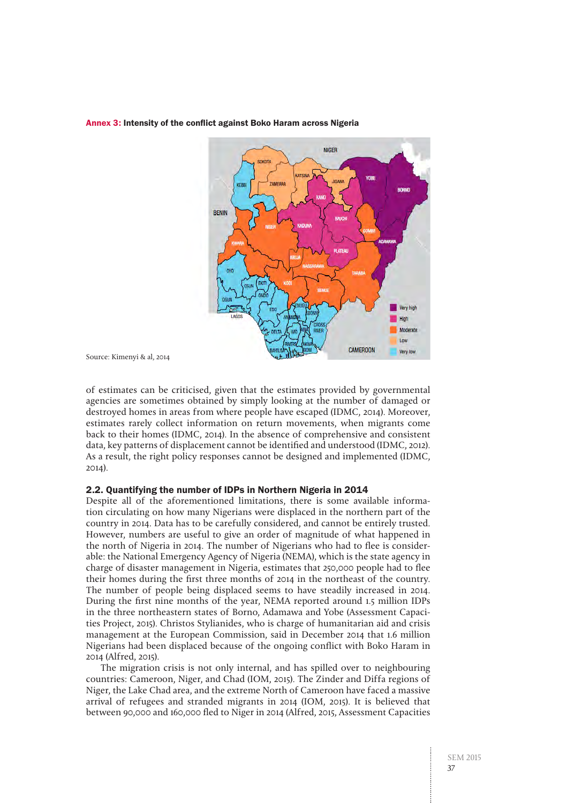

#### Annex 3: Intensity of the conflict against Boko Haram across Nigeria

Source: Kimenyi & al, 2014

of estimates can be criticised, given that the estimates provided by governmental agencies are sometimes obtained by simply looking at the number of damaged or destroyed homes in areas from where people have escaped (IDMC, 2014). Moreover, estimates rarely collect information on return movements, when migrants come back to their homes (IDMC, 2014). In the absence of comprehensive and consistent data, key patterns of displacement cannot be identified and understood (IDMC, 2012). As a result, the right policy responses cannot be designed and implemented (IDMC, 2014).

#### 2.2. Quantifying the number of IDPs in Northern Nigeria in 2014

Despite all of the aforementioned limitations, there is some available information circulating on how many Nigerians were displaced in the northern part of the country in 2014. Data has to be carefully considered, and cannot be entirely trusted. However, numbers are useful to give an order of magnitude of what happened in the north of Nigeria in 2014. The number of Nigerians who had to flee is considerable: the National Emergency Agency of Nigeria (NEMA), which is the state agency in charge of disaster management in Nigeria, estimates that 250,000 people had to flee their homes during the first three months of 2014 in the northeast of the country. The number of people being displaced seems to have steadily increased in 2014. During the first nine months of the year, NEMA reported around 1.5 million IDPs in the three northeastern states of Borno, Adamawa and Yobe (Assessment Capacities Project, 2015). Christos Stylianides, who is charge of humanitarian aid and crisis management at the European Commission, said in December 2014 that 1.6 million Nigerians had been displaced because of the ongoing conflict with Boko Haram in 2014 (Alfred, 2015).

The migration crisis is not only internal, and has spilled over to neighbouring countries: Cameroon, Niger, and Chad (IOM, 2015). The Zinder and Diffa regions of Niger, the Lake Chad area, and the extreme North of Cameroon have faced a massive arrival of refugees and stranded migrants in 2014 (IOM, 2015). It is believed that between 90,000 and 160,000 fled to Niger in 2014 (Alfred, 2015, Assessment Capacities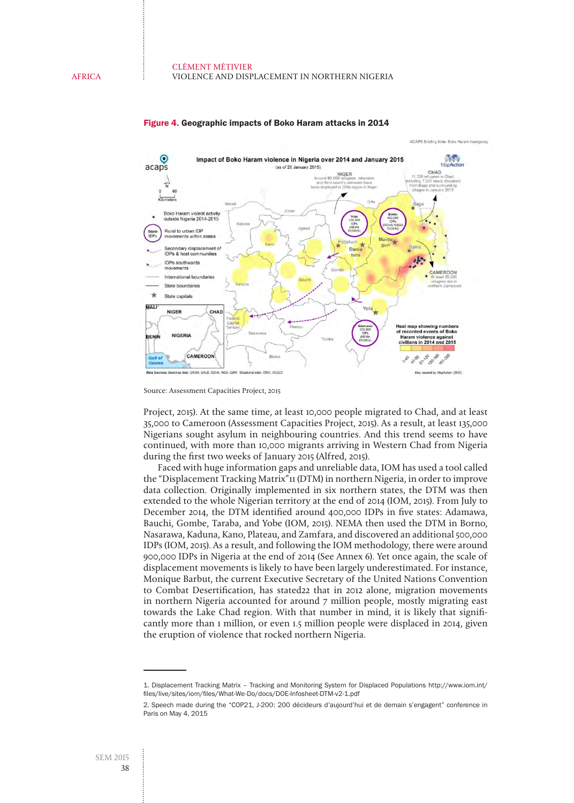

#### Figure 4. Geographic impacts of Boko Haram attacks in 2014

Source: Assessment Capacities Project, 2015

Project, 2015). At the same time, at least 10,000 people migrated to Chad, and at least 35,000 to Cameroon (Assessment Capacities Project, 2015). As a result, at least 135,000 Nigerians sought asylum in neighbouring countries. And this trend seems to have continued, with more than 10,000 migrants arriving in Western Chad from Nigeria during the first two weeks of January 2015 (Alfred, 2015).

Faced with huge information gaps and unreliable data, IOM has used a tool called the "Displacement Tracking Matrix"11 (DTM) in northern Nigeria, in order to improve data collection. Originally implemented in six northern states, the DTM was then extended to the whole Nigerian territory at the end of 2014 (IOM, 2015). From July to December 2014, the DTM identified around 400,000 IDPs in five states: Adamawa, Bauchi, Gombe, Taraba, and Yobe (IOM, 2015). NEMA then used the DTM in Borno, Nasarawa, Kaduna, Kano, Plateau, and Zamfara, and discovered an additional 500,000 IDPs (IOM, 2015). As a result, and following the IOM methodology, there were around 900,000 IDPs in Nigeria at the end of 2014 (See Annex 6). Yet once again, the scale of displacement movements is likely to have been largely underestimated. For instance, Monique Barbut, the current Executive Secretary of the United Nations Convention to Combat Desertification, has stated22 that in 2012 alone, migration movements in northern Nigeria accounted for around 7 million people, mostly migrating east towards the Lake Chad region. With that number in mind, it is likely that significantly more than 1 million, or even 1.5 million people were displaced in 2014, given the eruption of violence that rocked northern Nigeria.

<sup>1.</sup> Displacement Tracking Matrix – Tracking and Monitoring System for Displaced Populations [http://www.iom.int/](http://www.iom.int/files/live/sites/iom/files/What-We-Do/docs/DOE-Infosheet-DTM-v2-1.pdf) [files/live/sites/iom/files/What-We-Do/docs/DOE-Infosheet-DTM-v2-1.pdf](http://www.iom.int/files/live/sites/iom/files/What-We-Do/docs/DOE-Infosheet-DTM-v2-1.pdf)

<sup>2.</sup> Speech made during the "COP21, J-200: 200 décideurs d'aujourd'hui et de demain s'engagent" conference in Paris on May 4, 2015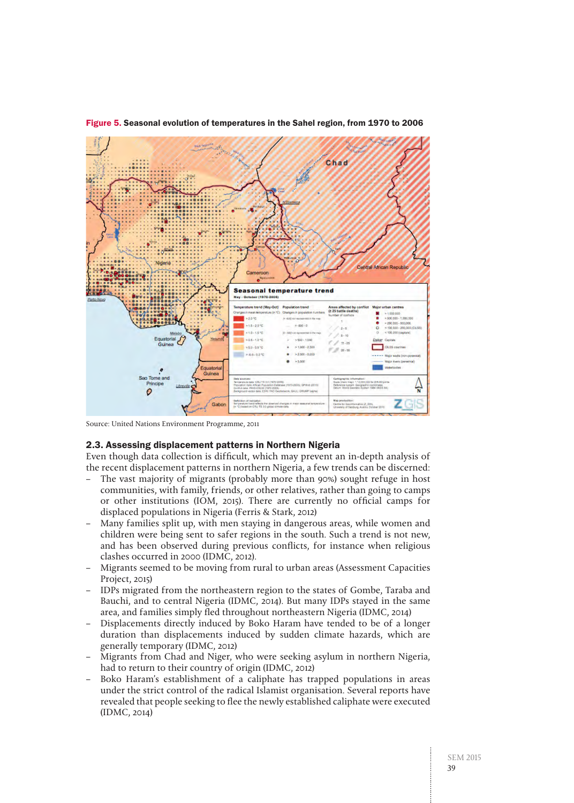

Figure 5. Seasonal evolution of temperatures in the Sahel region, from 1970 to 2006

Source: United Nations Environment Programme, 2011

#### 2.3. Assessing displacement patterns in Northern Nigeria

Even though data collection is difficult, which may prevent an in-depth analysis of the recent displacement patterns in northern Nigeria, a few trends can be discerned:

- The vast majority of migrants (probably more than 90%) sought refuge in host communities, with family, friends, or other relatives, rather than going to camps or other institutions (IOM, 2015). There are currently no official camps for displaced populations in Nigeria (Ferris & Stark, 2012)
- Many families split up, with men staying in dangerous areas, while women and children were being sent to safer regions in the south. Such a trend is not new, and has been observed during previous conflicts, for instance when religious clashes occurred in 2000 (IDMC, 2012).
- Migrants seemed to be moving from rural to urban areas (Assessment Capacities Project, 2015)
- IDPs migrated from the northeastern region to the states of Gombe, Taraba and Bauchi, and to central Nigeria (IDMC, 2014). But many IDPs stayed in the same area, and families simply fled throughout northeastern Nigeria (IDMC, 2014)
- Displacements directly induced by Boko Haram have tended to be of a longer duration than displacements induced by sudden climate hazards, which are generally temporary (IDMC, 2012)
- Migrants from Chad and Niger, who were seeking asylum in northern Nigeria, had to return to their country of origin (IDMC, 2012)
- Boko Haram's establishment of a caliphate has trapped populations in areas under the strict control of the radical Islamist organisation. Several reports have revealed that people seeking to flee the newly established caliphate were executed (IDMC, 2014)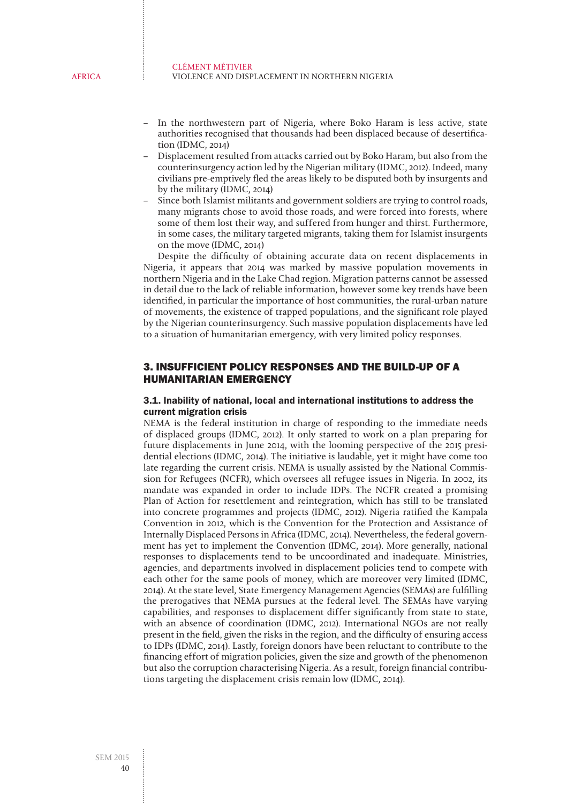#### CLÉMENT MÉTIVIER VIOLENCE AND DISPLACEMENT IN NORTHERN NIGERIA

- In the northwestern part of Nigeria, where Boko Haram is less active, state authorities recognised that thousands had been displaced because of desertification (IDMC, 2014)
- Displacement resulted from attacks carried out by Boko Haram, but also from the counterinsurgency action led by the Nigerian military (IDMC, 2012). Indeed, many civilians pre-emptively fled the areas likely to be disputed both by insurgents and by the military (IDMC, 2014)
- Since both Islamist militants and government soldiers are trying to control roads, many migrants chose to avoid those roads, and were forced into forests, where some of them lost their way, and suffered from hunger and thirst. Furthermore, in some cases, the military targeted migrants, taking them for Islamist insurgents on the move (IDMC, 2014)

Despite the difficulty of obtaining accurate data on recent displacements in Nigeria, it appears that 2014 was marked by massive population movements in northern Nigeria and in the Lake Chad region. Migration patterns cannot be assessed in detail due to the lack of reliable information, however some key trends have been identified, in particular the importance of host communities, the rural-urban nature of movements, the existence of trapped populations, and the significant role played by the Nigerian counterinsurgency. Such massive population displacements have led to a situation of humanitarian emergency, with very limited policy responses.

## 3. INSUFFICIENT POLICY RESPONSES AND THE BUILD-UP OF A HUMANITARIAN EMERGENCY

#### 3.1. Inability of national, local and international institutions to address the current migration crisis

NEMA is the federal institution in charge of responding to the immediate needs of displaced groups (IDMC, 2012). It only started to work on a plan preparing for future displacements in June 2014, with the looming perspective of the 2015 presidential elections (IDMC, 2014). The initiative is laudable, yet it might have come too late regarding the current crisis. NEMA is usually assisted by the National Commission for Refugees (NCFR), which oversees all refugee issues in Nigeria. In 2002, its mandate was expanded in order to include IDPs. The NCFR created a promising Plan of Action for resettlement and reintegration, which has still to be translated into concrete programmes and projects (IDMC, 2012). Nigeria ratified the Kampala Convention in 2012, which is the Convention for the Protection and Assistance of Internally Displaced Persons in Africa (IDMC, 2014). Nevertheless, the federal government has yet to implement the Convention (IDMC, 2014). More generally, national responses to displacements tend to be uncoordinated and inadequate. Ministries, agencies, and departments involved in displacement policies tend to compete with each other for the same pools of money, which are moreover very limited (IDMC, 2014). At the state level, State Emergency Management Agencies (SEMAs) are fulfilling the prerogatives that NEMA pursues at the federal level. The SEMAs have varying capabilities, and responses to displacement differ significantly from state to state, with an absence of coordination (IDMC, 2012). International NGOs are not really present in the field, given the risks in the region, and the difficulty of ensuring access to IDPs (IDMC, 2014). Lastly, foreign donors have been reluctant to contribute to the financing effort of migration policies, given the size and growth of the phenomenon but also the corruption characterising Nigeria. As a result, foreign financial contributions targeting the displacement crisis remain low (IDMC, 2014).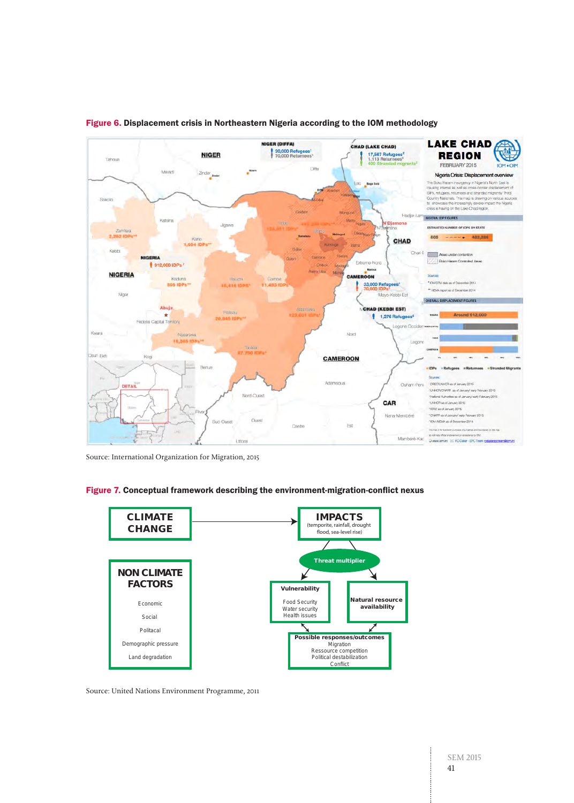

#### Figure 6. Displacement crisis in Northeastern Nigeria according to the IOM methodology

Source: International Organization for Migration, 2015





Source: United Nations Environment Programme, 2011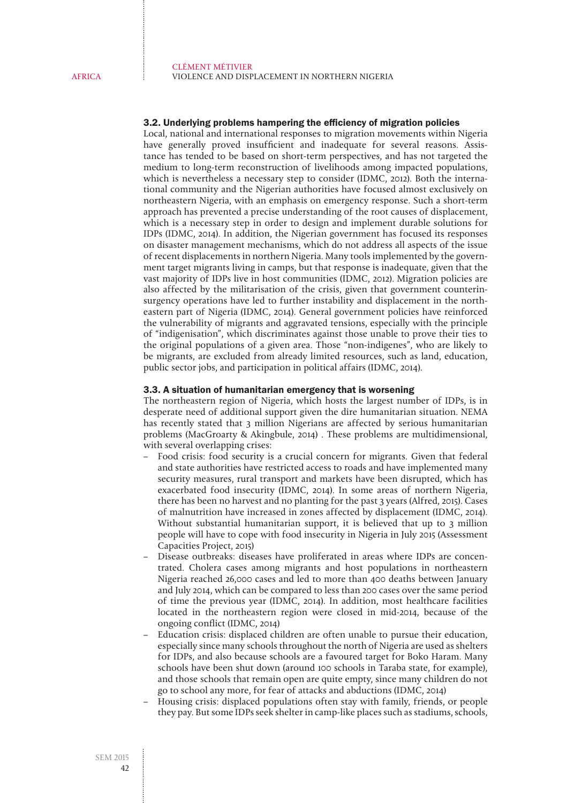#### 3.2. Underlying problems hampering the efficiency of migration policies

Local, national and international responses to migration movements within Nigeria have generally proved insufficient and inadequate for several reasons. Assistance has tended to be based on short-term perspectives, and has not targeted the medium to long-term reconstruction of livelihoods among impacted populations, which is nevertheless a necessary step to consider (IDMC, 2012). Both the international community and the Nigerian authorities have focused almost exclusively on northeastern Nigeria, with an emphasis on emergency response. Such a short-term approach has prevented a precise understanding of the root causes of displacement, which is a necessary step in order to design and implement durable solutions for IDPs (IDMC, 2014). In addition, the Nigerian government has focused its responses on disaster management mechanisms, which do not address all aspects of the issue of recent displacements in northern Nigeria. Many tools implemented by the government target migrants living in camps, but that response is inadequate, given that the vast majority of IDPs live in host communities (IDMC, 2012). Migration policies are also affected by the militarisation of the crisis, given that government counterinsurgency operations have led to further instability and displacement in the northeastern part of Nigeria (IDMC, 2014). General government policies have reinforced the vulnerability of migrants and aggravated tensions, especially with the principle of "indigenisation", which discriminates against those unable to prove their ties to the original populations of a given area. Those "non-indigenes", who are likely to be migrants, are excluded from already limited resources, such as land, education, public sector jobs, and participation in political affairs (IDMC, 2014).

#### 3.3. A situation of humanitarian emergency that is worsening

The northeastern region of Nigeria, which hosts the largest number of IDPs, is in desperate need of additional support given the dire humanitarian situation. NEMA has recently stated that 3 million Nigerians are affected by serious humanitarian problems (MacGroarty & Akingbule, 2014) . These problems are multidimensional, with several overlapping crises:

- Food crisis: food security is a crucial concern for migrants. Given that federal and state authorities have restricted access to roads and have implemented many security measures, rural transport and markets have been disrupted, which has exacerbated food insecurity (IDMC, 2014). In some areas of northern Nigeria, there has been no harvest and no planting for the past 3 years (Alfred, 2015). Cases of malnutrition have increased in zones affected by displacement (IDMC, 2014). Without substantial humanitarian support, it is believed that up to 3 million people will have to cope with food insecurity in Nigeria in July 2015 (Assessment Capacities Project, 2015)
- Disease outbreaks: diseases have proliferated in areas where IDPs are concentrated. Cholera cases among migrants and host populations in northeastern Nigeria reached 26,000 cases and led to more than 400 deaths between January and July 2014, which can be compared to less than 200 cases over the same period of time the previous year (IDMC, 2014). In addition, most healthcare facilities located in the northeastern region were closed in mid-2014, because of the ongoing conflict (IDMC, 2014)
- Education crisis: displaced children are often unable to pursue their education, especially since many schools throughout the north of Nigeria are used as shelters for IDPs, and also because schools are a favoured target for Boko Haram. Many schools have been shut down (around 100 schools in Taraba state, for example), and those schools that remain open are quite empty, since many children do not go to school any more, for fear of attacks and abductions (IDMC, 2014)
- Housing crisis: displaced populations often stay with family, friends, or people they pay. But some IDPs seek shelter in camp-like places such as stadiums, schools,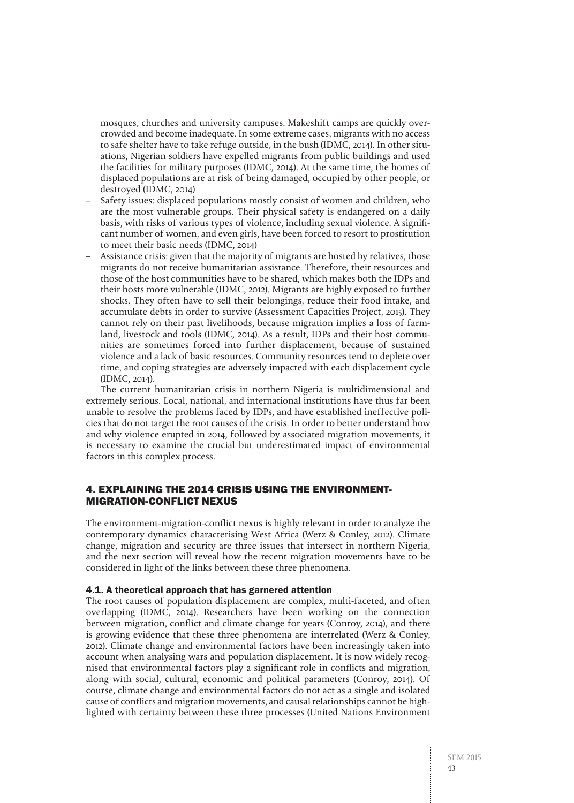mosques, churches and university campuses. Makeshift camps are quickly overcrowded and become inadequate. In some extreme cases, migrants with no access to safe shelter have to take refuge outside, in the bush (IDMC, 2014). In other situations, Nigerian soldiers have expelled migrants from public buildings and used the facilities for military purposes (IDMC, 2014). At the same time, the homes of displaced populations are at risk of being damaged, occupied by other people, or destroyed (IDMC, 2014)

- Safety issues: displaced populations mostly consist of women and children, who are the most vulnerable groups. Their physical safety is endangered on a daily basis, with risks of various types of violence, including sexual violence. A significant number of women, and even girls, have been forced to resort to prostitution to meet their basic needs (IDMC, 2014)
- Assistance crisis: given that the majority of migrants are hosted by relatives, those migrants do not receive humanitarian assistance. Therefore, their resources and those of the host communities have to be shared, which makes both the IDPs and their hosts more vulnerable (IDMC, 2012). Migrants are highly exposed to further shocks. They often have to sell their belongings, reduce their food intake, and accumulate debts in order to survive (Assessment Capacities Project, 2015). They cannot rely on their past livelihoods, because migration implies a loss of farmland, livestock and tools (IDMC, 2014). As a result, IDPs and their host communities are sometimes forced into further displacement, because of sustained violence and a lack of basic resources. Community resources tend to deplete over time, and coping strategies are adversely impacted with each displacement cycle (IDMC, 2014).

The current humanitarian crisis in northern Nigeria is multidimensional and extremely serious. Local, national, and international institutions have thus far been unable to resolve the problems faced by IDPs, and have established ineffective policies that do not target the root causes of the crisis. In order to better understand how and why violence erupted in 2014, followed by associated migration movements, it is necessary to examine the crucial but underestimated impact of environmental factors in this complex process.

## 4. EXPLAINING THE 2014 CRISIS USING THE ENVIRONMENT-MIGRATION-CONFLICT NEXUS

The environment-migration-conflict nexus is highly relevant in order to analyze the contemporary dynamics characterising West Africa (Werz & Conley, 2012). Climate change, migration and security are three issues that intersect in northern Nigeria, and the next section will reveal how the recent migration movements have to be considered in light of the links between these three phenomena.

#### 4.1. A theoretical approach that has garnered attention

The root causes of population displacement are complex, multi-faceted, and often overlapping (IDMC, 2014). Researchers have been working on the connection between migration, conflict and climate change for years (Conroy, 2014), and there is growing evidence that these three phenomena are interrelated (Werz & Conley, 2012). Climate change and environmental factors have been increasingly taken into account when analysing wars and population displacement. It is now widely recognised that environmental factors play a significant role in conflicts and migration, along with social, cultural, economic and political parameters (Conroy, 2014). Of course, climate change and environmental factors do not act as a single and isolated cause of conflicts and migration movements, and causal relationships cannot be highlighted with certainty between these three processes (United Nations Environment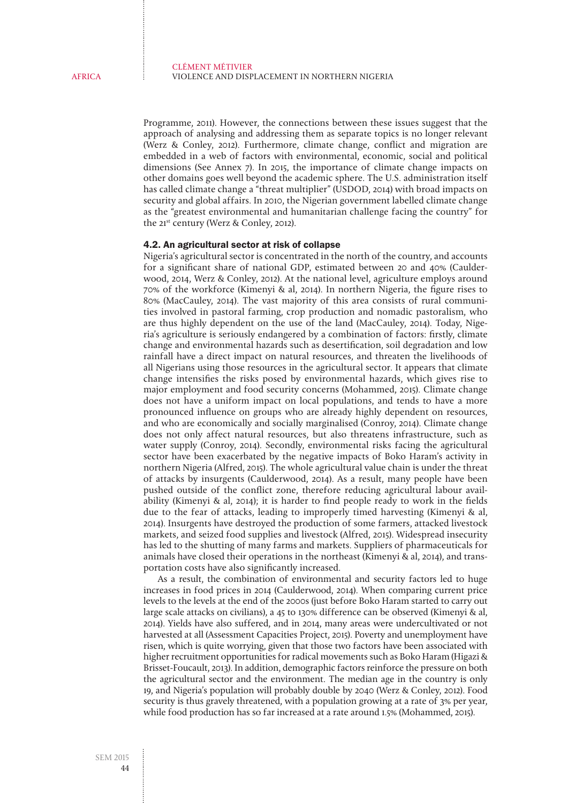Programme, 2011). However, the connections between these issues suggest that the approach of analysing and addressing them as separate topics is no longer relevant (Werz & Conley, 2012). Furthermore, climate change, conflict and migration are embedded in a web of factors with environmental, economic, social and political dimensions (See Annex 7). In 2015, the importance of climate change impacts on other domains goes well beyond the academic sphere. The U.S. administration itself has called climate change a "threat multiplier" (USDOD, 2014) with broad impacts on security and global affairs. In 2010, the Nigerian government labelled climate change as the "greatest environmental and humanitarian challenge facing the country" for the 21<sup>st</sup> century (Werz & Conley, 2012).

#### 4.2. An agricultural sector at risk of collapse

Nigeria's agricultural sector is concentrated in the north of the country, and accounts for a significant share of national GDP, estimated between 20 and 40% (Caulderwood, 2014, Werz & Conley, 2012). At the national level, agriculture employs around 70% of the workforce (Kimenyi & al, 2014). In northern Nigeria, the figure rises to 80% (MacCauley, 2014). The vast majority of this area consists of rural communities involved in pastoral farming, crop production and nomadic pastoralism, who are thus highly dependent on the use of the land (MacCauley, 2014). Today, Nigeria's agriculture is seriously endangered by a combination of factors: firstly, climate change and environmental hazards such as desertification, soil degradation and low rainfall have a direct impact on natural resources, and threaten the livelihoods of all Nigerians using those resources in the agricultural sector. It appears that climate change intensifies the risks posed by environmental hazards, which gives rise to major employment and food security concerns (Mohammed, 2015). Climate change does not have a uniform impact on local populations, and tends to have a more pronounced influence on groups who are already highly dependent on resources, and who are economically and socially marginalised (Conroy, 2014). Climate change does not only affect natural resources, but also threatens infrastructure, such as water supply (Conroy, 2014). Secondly, environmental risks facing the agricultural sector have been exacerbated by the negative impacts of Boko Haram's activity in northern Nigeria (Alfred, 2015). The whole agricultural value chain is under the threat of attacks by insurgents (Caulderwood, 2014). As a result, many people have been pushed outside of the conflict zone, therefore reducing agricultural labour availability (Kimenyi & al, 2014); it is harder to find people ready to work in the fields due to the fear of attacks, leading to improperly timed harvesting (Kimenyi & al, 2014). Insurgents have destroyed the production of some farmers, attacked livestock markets, and seized food supplies and livestock (Alfred, 2015). Widespread insecurity has led to the shutting of many farms and markets. Suppliers of pharmaceuticals for animals have closed their operations in the northeast (Kimenyi & al, 2014), and transportation costs have also significantly increased.

As a result, the combination of environmental and security factors led to huge increases in food prices in 2014 (Caulderwood, 2014). When comparing current price levels to the levels at the end of the 2000s (just before Boko Haram started to carry out large scale attacks on civilians), a 45 to 130% difference can be observed (Kimenyi & al, 2014). Yields have also suffered, and in 2014, many areas were undercultivated or not harvested at all (Assessment Capacities Project, 2015). Poverty and unemployment have risen, which is quite worrying, given that those two factors have been associated with higher recruitment opportunities for radical movements such as Boko Haram (Higazi & Brisset-Foucault, 2013). In addition, demographic factors reinforce the pressure on both the agricultural sector and the environment. The median age in the country is only 19, and Nigeria's population will probably double by 2040 (Werz & Conley, 2012). Food security is thus gravely threatened, with a population growing at a rate of 3% per year, while food production has so far increased at a rate around 1.5% (Mohammed, 2015).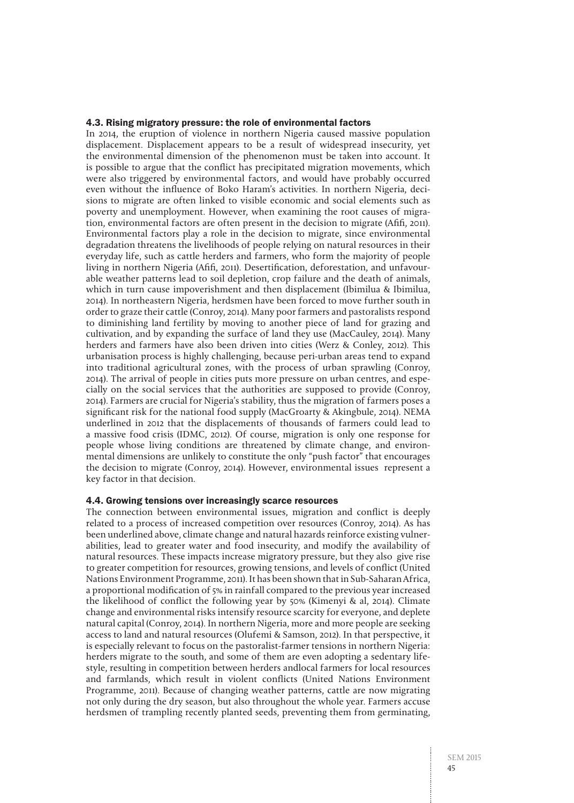#### 4.3. Rising migratory pressure: the role of environmental factors

In 2014, the eruption of violence in northern Nigeria caused massive population displacement. Displacement appears to be a result of widespread insecurity, yet the environmental dimension of the phenomenon must be taken into account. It is possible to argue that the conflict has precipitated migration movements, which were also triggered by environmental factors, and would have probably occurred even without the influence of Boko Haram's activities. In northern Nigeria, decisions to migrate are often linked to visible economic and social elements such as poverty and unemployment. However, when examining the root causes of migration, environmental factors are often present in the decision to migrate (Afifi, 2011). Environmental factors play a role in the decision to migrate, since environmental degradation threatens the livelihoods of people relying on natural resources in their everyday life, such as cattle herders and farmers, who form the majority of people living in northern Nigeria (Afifi, 2011). Desertification, deforestation, and unfavourable weather patterns lead to soil depletion, crop failure and the death of animals, which in turn cause impoverishment and then displacement (Ibimilua & Ibimilua, 2014). In northeastern Nigeria, herdsmen have been forced to move further south in order to graze their cattle (Conroy, 2014). Many poor farmers and pastoralists respond to diminishing land fertility by moving to another piece of land for grazing and cultivation, and by expanding the surface of land they use (MacCauley, 2014). Many herders and farmers have also been driven into cities (Werz & Conley, 2012). This urbanisation process is highly challenging, because peri-urban areas tend to expand into traditional agricultural zones, with the process of urban sprawling (Conroy, 2014). The arrival of people in cities puts more pressure on urban centres, and especially on the social services that the authorities are supposed to provide (Conroy, 2014). Farmers are crucial for Nigeria's stability, thus the migration of farmers poses a significant risk for the national food supply (MacGroarty & Akingbule, 2014). NEMA underlined in 2012 that the displacements of thousands of farmers could lead to a massive food crisis (IDMC, 2012). Of course, migration is only one response for people whose living conditions are threatened by climate change, and environmental dimensions are unlikely to constitute the only "push factor" that encourages the decision to migrate (Conroy, 2014). However, environmental issues represent a key factor in that decision.

#### 4.4. Growing tensions over increasingly scarce resources

The connection between environmental issues, migration and conflict is deeply related to a process of increased competition over resources (Conroy, 2014). As has been underlined above, climate change and natural hazards reinforce existing vulnerabilities, lead to greater water and food insecurity, and modify the availability of natural resources. These impacts increase migratory pressure, but they also give rise to greater competition for resources, growing tensions, and levels of conflict (United Nations Environment Programme, 2011). It has been shown that in Sub-Saharan Africa, a proportional modification of 5% in rainfall compared to the previous year increased the likelihood of conflict the following year by 50% (Kimenyi & al, 2014). Climate change and environmental risks intensify resource scarcity for everyone, and deplete natural capital (Conroy, 2014). In northern Nigeria, more and more people are seeking access to land and natural resources (Olufemi & Samson, 2012). In that perspective, it is especially relevant to focus on the pastoralist-farmer tensions in northern Nigeria: herders migrate to the south, and some of them are even adopting a sedentary lifestyle, resulting in competition between herders andlocal farmers for local resources and farmlands, which result in violent conflicts (United Nations Environment Programme, 2011). Because of changing weather patterns, cattle are now migrating not only during the dry season, but also throughout the whole year. Farmers accuse herdsmen of trampling recently planted seeds, preventing them from germinating,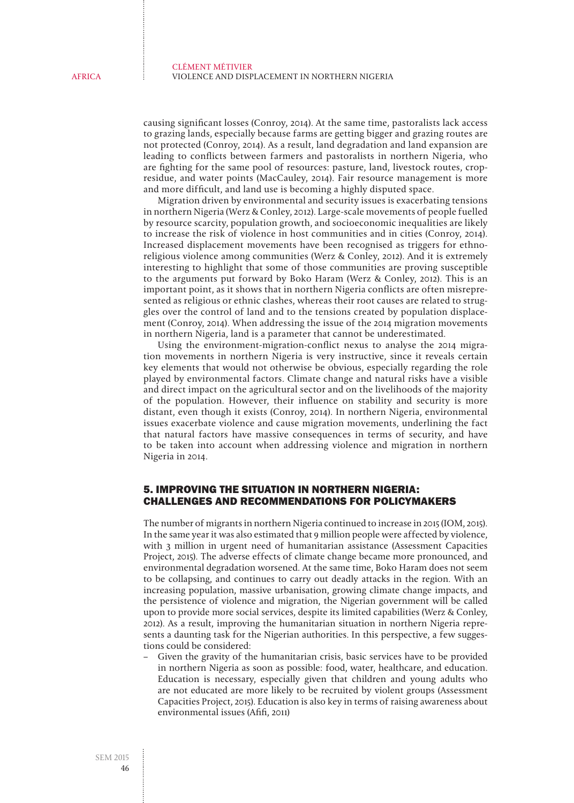causing significant losses (Conroy, 2014). At the same time, pastoralists lack access to grazing lands, especially because farms are getting bigger and grazing routes are not protected (Conroy, 2014). As a result, land degradation and land expansion are leading to conflicts between farmers and pastoralists in northern Nigeria, who are fighting for the same pool of resources: pasture, land, livestock routes, cropresidue, and water points (MacCauley, 2014). Fair resource management is more and more difficult, and land use is becoming a highly disputed space.

Migration driven by environmental and security issues is exacerbating tensions in northern Nigeria (Werz & Conley, 2012). Large-scale movements of people fuelled by resource scarcity, population growth, and socioeconomic inequalities are likely to increase the risk of violence in host communities and in cities (Conroy, 2014). Increased displacement movements have been recognised as triggers for ethnoreligious violence among communities (Werz & Conley, 2012). And it is extremely interesting to highlight that some of those communities are proving susceptible to the arguments put forward by Boko Haram (Werz & Conley, 2012). This is an important point, as it shows that in northern Nigeria conflicts are often misrepresented as religious or ethnic clashes, whereas their root causes are related to struggles over the control of land and to the tensions created by population displacement (Conroy, 2014). When addressing the issue of the 2014 migration movements in northern Nigeria, land is a parameter that cannot be underestimated.

Using the environment-migration-conflict nexus to analyse the 2014 migration movements in northern Nigeria is very instructive, since it reveals certain key elements that would not otherwise be obvious, especially regarding the role played by environmental factors. Climate change and natural risks have a visible and direct impact on the agricultural sector and on the livelihoods of the majority of the population. However, their influence on stability and security is more distant, even though it exists (Conroy, 2014). In northern Nigeria, environmental issues exacerbate violence and cause migration movements, underlining the fact that natural factors have massive consequences in terms of security, and have to be taken into account when addressing violence and migration in northern Nigeria in 2014.

## 5. IMPROVING THE SITUATION IN NORTHERN NIGERIA: CHALLENGES AND RECOMMENDATIONS FOR POLICYMAKERS

The number of migrants in northern Nigeria continued to increase in 2015 (IOM, 2015). In the same year it was also estimated that 9 million people were affected by violence, with 3 million in urgent need of humanitarian assistance (Assessment Capacities Project, 2015). The adverse effects of climate change became more pronounced, and environmental degradation worsened. At the same time, Boko Haram does not seem to be collapsing, and continues to carry out deadly attacks in the region. With an increasing population, massive urbanisation, growing climate change impacts, and the persistence of violence and migration, the Nigerian government will be called upon to provide more social services, despite its limited capabilities (Werz & Conley, 2012). As a result, improving the humanitarian situation in northern Nigeria represents a daunting task for the Nigerian authorities. In this perspective, a few suggestions could be considered:

– Given the gravity of the humanitarian crisis, basic services have to be provided in northern Nigeria as soon as possible: food, water, healthcare, and education. Education is necessary, especially given that children and young adults who are not educated are more likely to be recruited by violent groups (Assessment Capacities Project, 2015). Education is also key in terms of raising awareness about environmental issues (Afifi, 2011)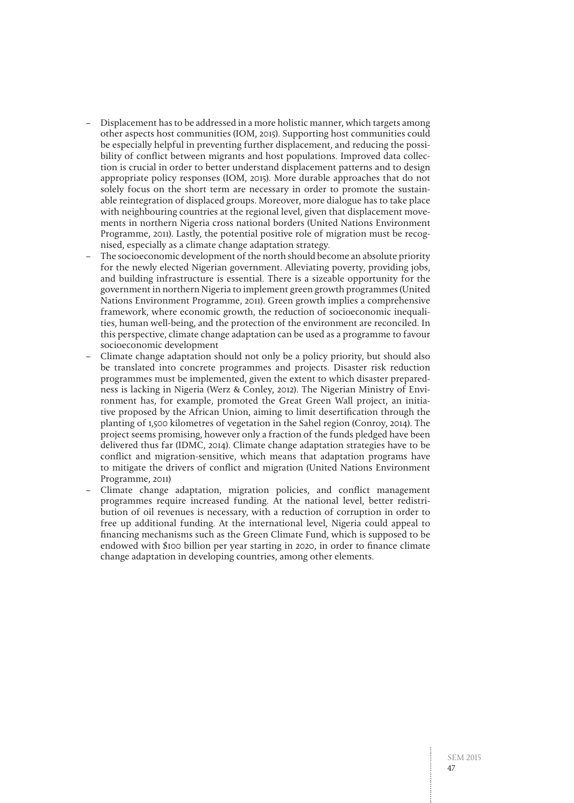- Displacement has to be addressed in a more holistic manner, which targets among other aspects host communities (IOM, 2015). Supporting host communities could be especially helpful in preventing further displacement, and reducing the possibility of conflict between migrants and host populations. Improved data collection is crucial in order to better understand displacement patterns and to design appropriate policy responses (IOM, 2015). More durable approaches that do not solely focus on the short term are necessary in order to promote the sustainable reintegration of displaced groups. Moreover, more dialogue has to take place with neighbouring countries at the regional level, given that displacement movements in northern Nigeria cross national borders (United Nations Environment Programme, 2011). Lastly, the potential positive role of migration must be recognised, especially as a climate change adaptation strategy.
- The socioeconomic development of the north should become an absolute priority for the newly elected Nigerian government. Alleviating poverty, providing jobs, and building infrastructure is essential. There is a sizeable opportunity for the government in northern Nigeria to implement green growth programmes (United Nations Environment Programme, 2011). Green growth implies a comprehensive framework, where economic growth, the reduction of socioeconomic inequalities, human well-being, and the protection of the environment are reconciled. In this perspective, climate change adaptation can be used as a programme to favour socioeconomic development
- Climate change adaptation should not only be a policy priority, but should also be translated into concrete programmes and projects. Disaster risk reduction programmes must be implemented, given the extent to which disaster preparedness is lacking in Nigeria (Werz & Conley, 2012). The Nigerian Ministry of Environment has, for example, promoted the Great Green Wall project, an initiative proposed by the African Union, aiming to limit desertification through the planting of 1,500 kilometres of vegetation in the Sahel region (Conroy, 2014). The project seems promising, however only a fraction of the funds pledged have been delivered thus far (IDMC, 2014). Climate change adaptation strategies have to be conflict and migration-sensitive, which means that adaptation programs have to mitigate the drivers of conflict and migration (United Nations Environment Programme, 2011)
- Climate change adaptation, migration policies, and conflict management programmes require increased funding. At the national level, better redistribution of oil revenues is necessary, with a reduction of corruption in order to free up additional funding. At the international level, Nigeria could appeal to financing mechanisms such as the Green Climate Fund, which is supposed to be endowed with \$100 billion per year starting in 2020, in order to finance climate change adaptation in developing countries, among other elements.